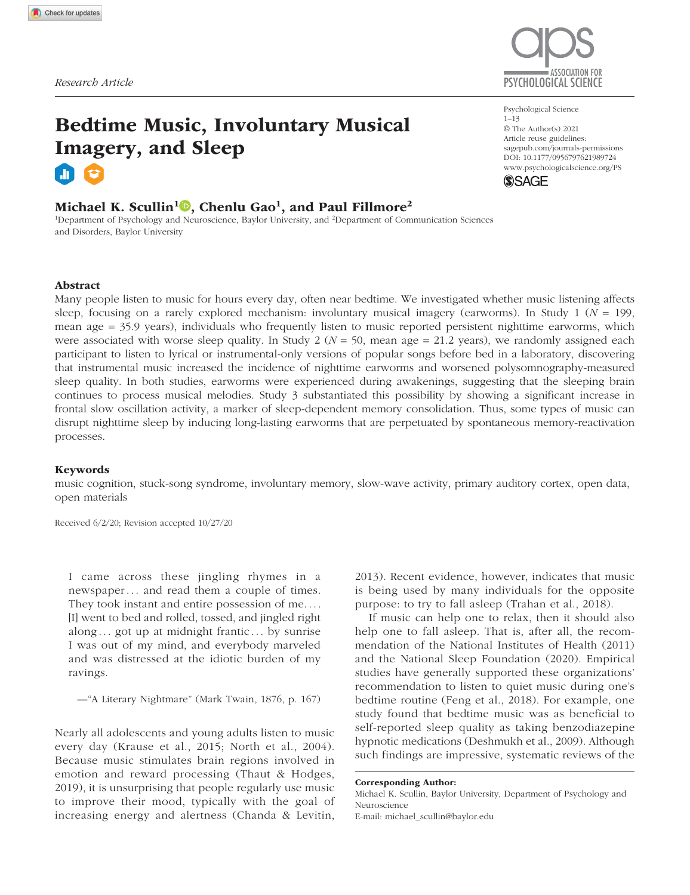# Bedtime Music, Involuntary Musical Imagery, and Sleep

# Michael K. Scullin $^{1}$   $\text{\textregistered}$ , Chenlu Gao $^{1}$ , and Paul Fillmore $^{2}$

<sup>1</sup>Department of Psychology and Neuroscience, Baylor University, and <sup>2</sup>Department of Communication Sciences and Disorders, Baylor University



Psychological Science  $1 - 13$ © The Author(s) 2021 Article reuse guidelines: sagepub.com/journals-permissions https://doi.org/10.1177/0956797621989724 DOI: 10.1177/0956797621989724 www.psychologicalscience.org/PS **SSAGE** 

# Abstract

Many people listen to music for hours every day, often near bedtime. We investigated whether music listening affects sleep, focusing on a rarely explored mechanism: involuntary musical imagery (earworms). In Study 1 (*N* = 199, mean age = 35.9 years), individuals who frequently listen to music reported persistent nighttime earworms, which were associated with worse sleep quality. In Study  $2 (N = 50)$ , mean age = 21.2 years), we randomly assigned each participant to listen to lyrical or instrumental-only versions of popular songs before bed in a laboratory, discovering that instrumental music increased the incidence of nighttime earworms and worsened polysomnography-measured sleep quality. In both studies, earworms were experienced during awakenings, suggesting that the sleeping brain continues to process musical melodies. Study 3 substantiated this possibility by showing a significant increase in frontal slow oscillation activity, a marker of sleep-dependent memory consolidation. Thus, some types of music can disrupt nighttime sleep by inducing long-lasting earworms that are perpetuated by spontaneous memory-reactivation processes.

#### Keywords

music cognition, stuck-song syndrome, involuntary memory, slow-wave activity, primary auditory cortex, open data, open materials

Received 6/2/20; Revision accepted 10/27/20

I came across these jingling rhymes in a newspaper . . . and read them a couple of times. They took instant and entire possession of me. . . . [I] went to bed and rolled, tossed, and jingled right along  $\ldots$  got up at midnight frantic  $\ldots$  by sunrise I was out of my mind, and everybody marveled and was distressed at the idiotic burden of my ravings.

—"A Literary Nightmare" (Mark Twain, 1876, p. 167)

Nearly all adolescents and young adults listen to music every day (Krause et al., 2015; North et al., 2004). Because music stimulates brain regions involved in emotion and reward processing (Thaut & Hodges, 2019), it is unsurprising that people regularly use music to improve their mood, typically with the goal of increasing energy and alertness (Chanda & Levitin,

2013). Recent evidence, however, indicates that music is being used by many individuals for the opposite purpose: to try to fall asleep (Trahan et al., 2018).

If music can help one to relax, then it should also help one to fall asleep. That is, after all, the recommendation of the National Institutes of Health (2011) and the National Sleep Foundation (2020). Empirical studies have generally supported these organizations' recommendation to listen to quiet music during one's bedtime routine (Feng et al., 2018). For example, one study found that bedtime music was as beneficial to self-reported sleep quality as taking benzodiazepine hypnotic medications (Deshmukh et al., 2009). Although such findings are impressive, systematic reviews of the

Corresponding Author: Michael K. Scullin, Baylor University, Department of Psychology and Neuroscience E-mail: michael\_scullin@baylor.edu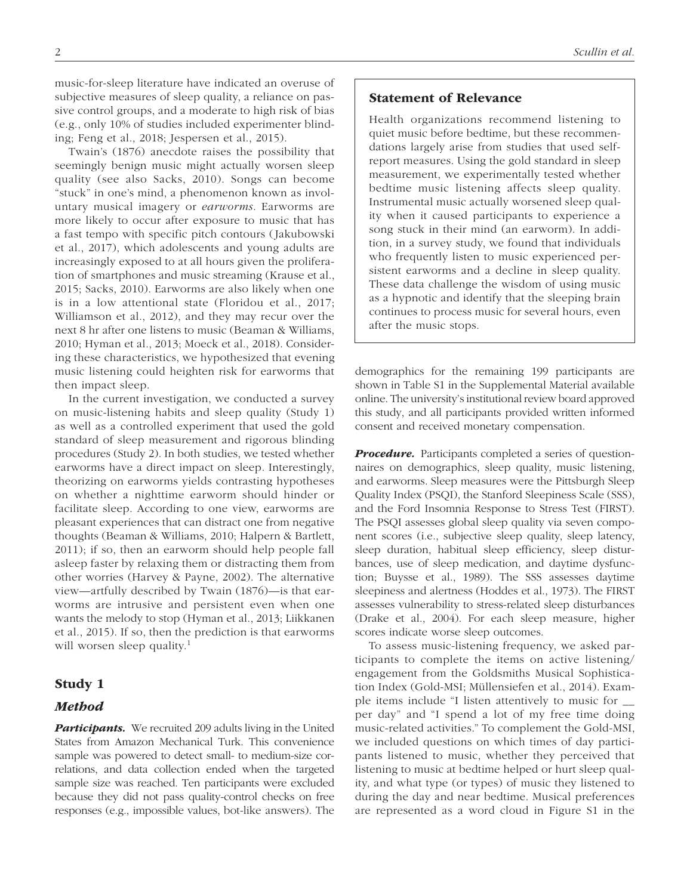music-for-sleep literature have indicated an overuse of subjective measures of sleep quality, a reliance on passive control groups, and a moderate to high risk of bias (e.g., only 10% of studies included experimenter blinding; Feng et al., 2018; Jespersen et al., 2015).

Twain's (1876) anecdote raises the possibility that seemingly benign music might actually worsen sleep quality (see also Sacks, 2010). Songs can become "stuck" in one's mind, a phenomenon known as involuntary musical imagery or *earworms*. Earworms are more likely to occur after exposure to music that has a fast tempo with specific pitch contours (Jakubowski et al., 2017), which adolescents and young adults are increasingly exposed to at all hours given the proliferation of smartphones and music streaming (Krause et al., 2015; Sacks, 2010). Earworms are also likely when one is in a low attentional state (Floridou et al., 2017; Williamson et al., 2012), and they may recur over the next 8 hr after one listens to music (Beaman & Williams, 2010; Hyman et al., 2013; Moeck et al., 2018). Considering these characteristics, we hypothesized that evening music listening could heighten risk for earworms that then impact sleep.

In the current investigation, we conducted a survey on music-listening habits and sleep quality (Study 1) as well as a controlled experiment that used the gold standard of sleep measurement and rigorous blinding procedures (Study 2). In both studies, we tested whether earworms have a direct impact on sleep. Interestingly, theorizing on earworms yields contrasting hypotheses on whether a nighttime earworm should hinder or facilitate sleep. According to one view, earworms are pleasant experiences that can distract one from negative thoughts (Beaman & Williams, 2010; Halpern & Bartlett, 2011); if so, then an earworm should help people fall asleep faster by relaxing them or distracting them from other worries (Harvey & Payne, 2002). The alternative view—artfully described by Twain (1876)—is that earworms are intrusive and persistent even when one wants the melody to stop (Hyman et al., 2013; Liikkanen et al., 2015). If so, then the prediction is that earworms will worsen sleep quality.<sup>1</sup>

#### Study 1

#### Method

**Participants.** We recruited 209 adults living in the United States from Amazon Mechanical Turk. This convenience sample was powered to detect small- to medium-size correlations, and data collection ended when the targeted sample size was reached. Ten participants were excluded because they did not pass quality-control checks on free responses (e.g., impossible values, bot-like answers). The

## Statement of Relevance

Health organizations recommend listening to quiet music before bedtime, but these recommendations largely arise from studies that used selfreport measures. Using the gold standard in sleep measurement, we experimentally tested whether bedtime music listening affects sleep quality. Instrumental music actually worsened sleep quality when it caused participants to experience a song stuck in their mind (an earworm). In addition, in a survey study, we found that individuals who frequently listen to music experienced persistent earworms and a decline in sleep quality. These data challenge the wisdom of using music as a hypnotic and identify that the sleeping brain continues to process music for several hours, even after the music stops.

demographics for the remaining 199 participants are shown in Table S1 in the Supplemental Material available online. The university's institutional review board approved this study, and all participants provided written informed consent and received monetary compensation.

**Procedure.** Participants completed a series of questionnaires on demographics, sleep quality, music listening, and earworms. Sleep measures were the Pittsburgh Sleep Quality Index (PSQI), the Stanford Sleepiness Scale (SSS), and the Ford Insomnia Response to Stress Test (FIRST). The PSQI assesses global sleep quality via seven component scores (i.e., subjective sleep quality, sleep latency, sleep duration, habitual sleep efficiency, sleep disturbances, use of sleep medication, and daytime dysfunction; Buysse et al., 1989). The SSS assesses daytime sleepiness and alertness (Hoddes et al., 1973). The FIRST assesses vulnerability to stress-related sleep disturbances (Drake et al., 2004). For each sleep measure, higher scores indicate worse sleep outcomes.

To assess music-listening frequency, we asked participants to complete the items on active listening/ engagement from the Goldsmiths Musical Sophistication Index (Gold-MSI; Müllensiefen et al., 2014). Example items include "I listen attentively to music for \_\_ per day" and "I spend a lot of my free time doing music-related activities." To complement the Gold-MSI, we included questions on which times of day participants listened to music, whether they perceived that listening to music at bedtime helped or hurt sleep quality, and what type (or types) of music they listened to during the day and near bedtime. Musical preferences are represented as a word cloud in Figure S1 in the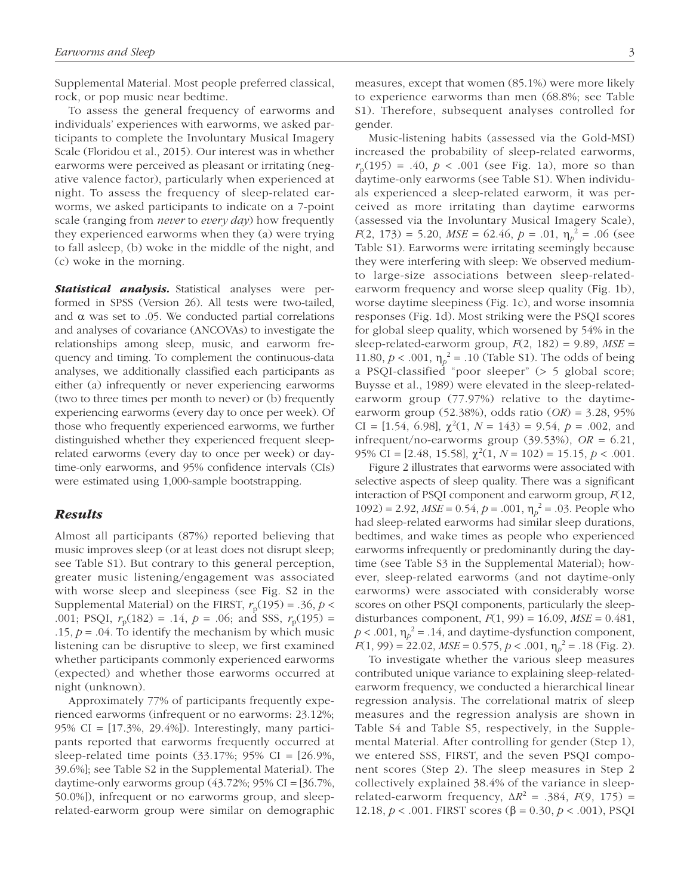Supplemental Material. Most people preferred classical, rock, or pop music near bedtime.

To assess the general frequency of earworms and individuals' experiences with earworms, we asked participants to complete the Involuntary Musical Imagery Scale (Floridou et al., 2015). Our interest was in whether earworms were perceived as pleasant or irritating (negative valence factor), particularly when experienced at night. To assess the frequency of sleep-related earworms, we asked participants to indicate on a 7-point scale (ranging from *never* to *every day*) how frequently they experienced earworms when they (a) were trying to fall asleep, (b) woke in the middle of the night, and (c) woke in the morning.

**Statistical analysis.** Statistical analyses were performed in SPSS (Version 26). All tests were two-tailed, and  $\alpha$  was set to .05. We conducted partial correlations and analyses of covariance (ANCOVAs) to investigate the relationships among sleep, music, and earworm frequency and timing. To complement the continuous-data analyses, we additionally classified each participants as either (a) infrequently or never experiencing earworms (two to three times per month to never) or (b) frequently experiencing earworms (every day to once per week). Of those who frequently experienced earworms, we further distinguished whether they experienced frequent sleeprelated earworms (every day to once per week) or daytime-only earworms, and 95% confidence intervals (CIs) were estimated using 1,000-sample bootstrapping.

#### Results

Almost all participants (87%) reported believing that music improves sleep (or at least does not disrupt sleep; see Table S1). But contrary to this general perception, greater music listening/engagement was associated with worse sleep and sleepiness (see Fig. S2 in the Supplemental Material) on the FIRST,  $r_p(195) = .36, p <$ .001; PSQI,  $r_p(182) = .14$ ,  $p = .06$ ; and SSS,  $r_p(195) =$ .15,  $p = .04$ . To identify the mechanism by which music listening can be disruptive to sleep, we first examined whether participants commonly experienced earworms (expected) and whether those earworms occurred at night (unknown).

Approximately 77% of participants frequently experienced earworms (infrequent or no earworms: 23.12%; 95% CI = [17.3%, 29.4%]). Interestingly, many participants reported that earworms frequently occurred at sleep-related time points (33.17%; 95% CI = [26.9%, 39.6%]; see Table S2 in the Supplemental Material). The daytime-only earworms group  $(43.72\%; 95\% \text{ CI} = [36.7\%$ , 50.0%]), infrequent or no earworms group, and sleeprelated-earworm group were similar on demographic measures, except that women (85.1%) were more likely to experience earworms than men (68.8%; see Table S1). Therefore, subsequent analyses controlled for gender.

Music-listening habits (assessed via the Gold-MSI) increased the probability of sleep-related earworms,  $r_{\rm p}(195) = .40, p < .001$  (see Fig. 1a), more so than daytime-only earworms (see Table S1). When individuals experienced a sleep-related earworm, it was perceived as more irritating than daytime earworms (assessed via the Involuntary Musical Imagery Scale),  $F(2, 173) = 5.20, MSE = 62.46, p = .01, \eta_p^2 = .06$  (see Table S1). Earworms were irritating seemingly because they were interfering with sleep: We observed mediumto large-size associations between sleep-relatedearworm frequency and worse sleep quality (Fig. 1b), worse daytime sleepiness (Fig. 1c), and worse insomnia responses (Fig. 1d). Most striking were the PSQI scores for global sleep quality, which worsened by 54% in the sleep-related-earworm group,  $F(2, 182) = 9.89$ ,  $MSE =$ 11.80,  $p < .001$ ,  $\eta_p^2 = .10$  (Table S1). The odds of being a PSQI-classified "poor sleeper" (> 5 global score; Buysse et al., 1989) were elevated in the sleep-relatedearworm group (77.97%) relative to the daytimeearworm group (52.38%), odds ratio (*OR*) = 3.28, 95% CI = [1.54, 6.98],  $\chi^2(1, N = 143) = 9.54$ ,  $p = .002$ , and infrequent/no-earworms group (39.53%), *OR* = 6.21, 95% CI = [2.48, 15.58],  $\chi^2(1, N = 102) = 15.15, p < .001$ .

Figure 2 illustrates that earworms were associated with selective aspects of sleep quality. There was a significant interaction of PSQI component and earworm group, *F*(12, 1092) = 2.92,  $MSE = 0.54$ ,  $p = .001$ ,  $\eta_p^2 = .03$ . People who had sleep-related earworms had similar sleep durations, bedtimes, and wake times as people who experienced earworms infrequently or predominantly during the daytime (see Table S3 in the Supplemental Material); however, sleep-related earworms (and not daytime-only earworms) were associated with considerably worse scores on other PSQI components, particularly the sleepdisturbances component, *F*(1, 99) = 16.09, *MSE* = 0.481,  $p < .001$ ,  $\eta_p^2 = .14$ , and daytime-dysfunction component,  $F(1, 99) = 22.02$ ,  $MSE = 0.575$ ,  $p < .001$ ,  $\eta_p^2 = .18$  (Fig. 2).

To investigate whether the various sleep measures contributed unique variance to explaining sleep-relatedearworm frequency, we conducted a hierarchical linear regression analysis. The correlational matrix of sleep measures and the regression analysis are shown in Table S4 and Table S5, respectively, in the Supplemental Material. After controlling for gender (Step 1), we entered SSS, FIRST, and the seven PSQI component scores (Step 2). The sleep measures in Step 2 collectively explained 38.4% of the variance in sleeprelated-earworm frequency,  $\Delta R^2 = .384$ ,  $F(9, 175) =$ 12.18, *p* < .001. FIRST scores (β = 0.30, *p* < .001), PSQI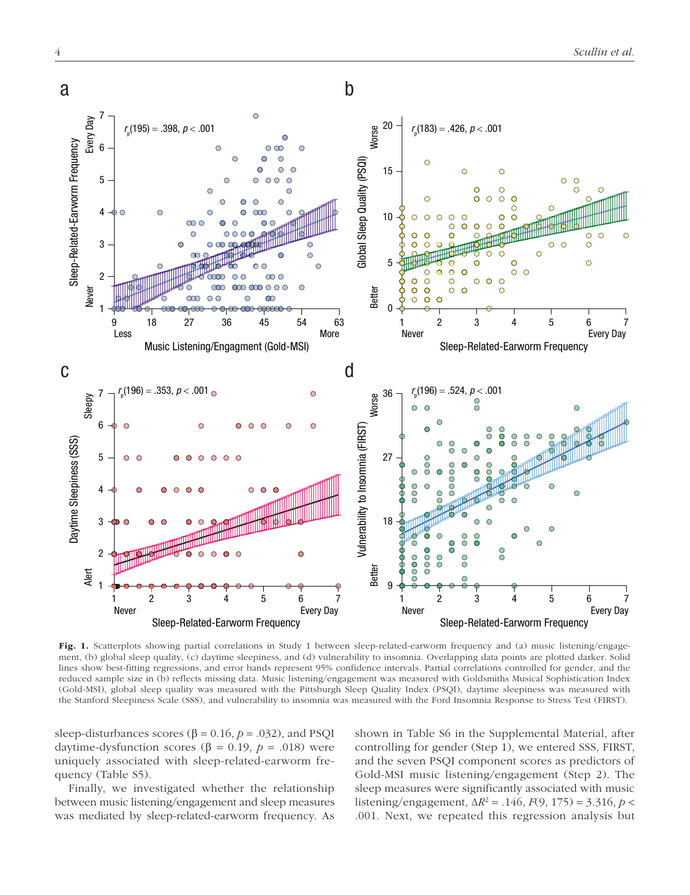

Fig. 1. Scatterplots showing partial correlations in Study 1 between sleep-related-earworm frequency and (a) music listening/engagement, (b) global sleep quality, (c) daytime sleepiness, and (d) vulnerability to insomnia. Overlapping data points are plotted darker. Solid lines show best-fitting regressions, and error bands represent 95% confidence intervals. Partial correlations controlled for gender, and the reduced sample size in (b) reflects missing data. Music listening/engagement was measured with Goldsmiths Musical Sophistication Index (Gold-MSI), global sleep quality was measured with the Pittsburgh Sleep Quality Index (PSQI), daytime sleepiness was measured with the Stanford Sleepiness Scale (SSS), and vulnerability to insomnia was measured with the Ford Insomnia Response to Stress Test (FIRST).

sleep-disturbances scores ( $\beta$  = 0.16,  $p$  = .032), and PSQI daytime-dysfunction scores (β = 0.19,  $p = .018$ ) were uniquely associated with sleep-related-earworm frequency (Table S5).

Finally, we investigated whether the relationship between music listening/engagement and sleep measures was mediated by sleep-related-earworm frequency. As shown in Table S6 in the Supplemental Material, after controlling for gender (Step 1), we entered SSS, FIRST, and the seven PSQI component scores as predictors of Gold-MSI music listening/engagement (Step 2). The sleep measures were significantly associated with music listening/engagement, ∆*R* <sup>2</sup> = .146, *F*(9, 175) = 3.316, *p* < .001. Next, we repeated this regression analysis but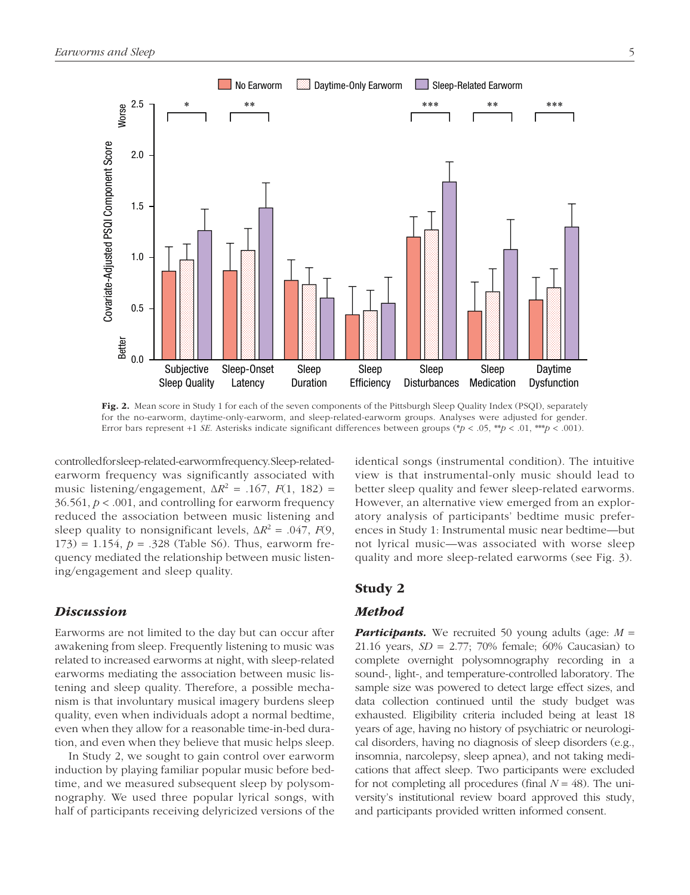

Fig. 2. Mean score in Study 1 for each of the seven components of the Pittsburgh Sleep Quality Index (PSQI), separately for the no-earworm, daytime-only-earworm, and sleep-related-earworm groups. Analyses were adjusted for gender. Error bars represent +1 *SE*. Asterisks indicate significant differences between groups (\**p* < .05, \*\**p* < .01, \*\*\**p* < .001).

controlled for sleep-related-earworm frequency. Sleep-relatedearworm frequency was significantly associated with music listening/engagement,  $\Delta R^2 = .167$ ,  $F(1, 182) =$ 36.561, *p* < .001, and controlling for earworm frequency reduced the association between music listening and sleep quality to nonsignificant levels,  $\Delta R^2 = .047$ , *F*(9,  $173$ ) = 1.154,  $p = 0.328$  (Table S6). Thus, earworm frequency mediated the relationship between music listening/engagement and sleep quality.

#### **Discussion**

Earworms are not limited to the day but can occur after awakening from sleep. Frequently listening to music was related to increased earworms at night, with sleep-related earworms mediating the association between music listening and sleep quality. Therefore, a possible mechanism is that involuntary musical imagery burdens sleep quality, even when individuals adopt a normal bedtime, even when they allow for a reasonable time-in-bed duration, and even when they believe that music helps sleep.

In Study 2, we sought to gain control over earworm induction by playing familiar popular music before bedtime, and we measured subsequent sleep by polysomnography. We used three popular lyrical songs, with half of participants receiving delyricized versions of the identical songs (instrumental condition). The intuitive view is that instrumental-only music should lead to better sleep quality and fewer sleep-related earworms. However, an alternative view emerged from an exploratory analysis of participants' bedtime music preferences in Study 1: Instrumental music near bedtime—but not lyrical music—was associated with worse sleep quality and more sleep-related earworms (see Fig. 3).

### Study 2

#### Method

**Participants.** We recruited 50 young adults (age:  $M =$ 21.16 years, *SD* = 2.77; 70% female; 60% Caucasian) to complete overnight polysomnography recording in a sound-, light-, and temperature-controlled laboratory. The sample size was powered to detect large effect sizes, and data collection continued until the study budget was exhausted. Eligibility criteria included being at least 18 years of age, having no history of psychiatric or neurological disorders, having no diagnosis of sleep disorders (e.g., insomnia, narcolepsy, sleep apnea), and not taking medications that affect sleep. Two participants were excluded for not completing all procedures (final  $N = 48$ ). The university's institutional review board approved this study, and participants provided written informed consent.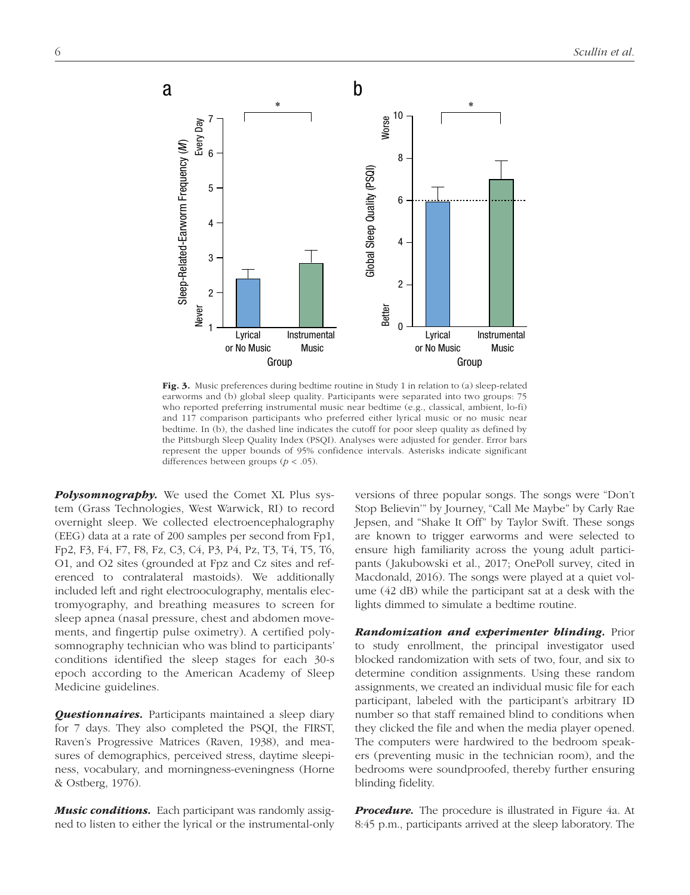

Fig. 3. Music preferences during bedtime routine in Study 1 in relation to (a) sleep-related earworms and (b) global sleep quality. Participants were separated into two groups: 75 who reported preferring instrumental music near bedtime (e.g., classical, ambient, lo-fi) and 117 comparison participants who preferred either lyrical music or no music near bedtime. In (b), the dashed line indicates the cutoff for poor sleep quality as defined by the Pittsburgh Sleep Quality Index (PSQI). Analyses were adjusted for gender. Error bars represent the upper bounds of 95% confidence intervals. Asterisks indicate significant differences between groups (*p* < .05).

**Polysomnography.** We used the Comet XL Plus system (Grass Technologies, West Warwick, RI) to record overnight sleep. We collected electroencephalography (EEG) data at a rate of 200 samples per second from Fp1, Fp2, F3, F4, F7, F8, Fz, C3, C4, P3, P4, Pz, T3, T4, T5, T6, O1, and O2 sites (grounded at Fpz and Cz sites and referenced to contralateral mastoids). We additionally included left and right electrooculography, mentalis electromyography, and breathing measures to screen for sleep apnea (nasal pressure, chest and abdomen movements, and fingertip pulse oximetry). A certified polysomnography technician who was blind to participants' conditions identified the sleep stages for each 30-s epoch according to the American Academy of Sleep Medicine guidelines.

**Questionnaires.** Participants maintained a sleep diary for 7 days. They also completed the PSQI, the FIRST, Raven's Progressive Matrices (Raven, 1938), and measures of demographics, perceived stress, daytime sleepiness, vocabulary, and morningness-eveningness (Horne & Ostberg, 1976).

**Music conditions.** Each participant was randomly assigned to listen to either the lyrical or the instrumental-only versions of three popular songs. The songs were "Don't Stop Believin'" by Journey, "Call Me Maybe" by Carly Rae Jepsen, and "Shake It Off" by Taylor Swift. These songs are known to trigger earworms and were selected to ensure high familiarity across the young adult participants (Jakubowski et al., 2017; OnePoll survey, cited in Macdonald, 2016). The songs were played at a quiet volume (42 dB) while the participant sat at a desk with the lights dimmed to simulate a bedtime routine.

**Randomization and experimenter blinding.** Prior to study enrollment, the principal investigator used blocked randomization with sets of two, four, and six to determine condition assignments. Using these random assignments, we created an individual music file for each participant, labeled with the participant's arbitrary ID number so that staff remained blind to conditions when they clicked the file and when the media player opened. The computers were hardwired to the bedroom speakers (preventing music in the technician room), and the bedrooms were soundproofed, thereby further ensuring blinding fidelity.

**Procedure.** The procedure is illustrated in Figure 4a. At 8:45 p.m., participants arrived at the sleep laboratory. The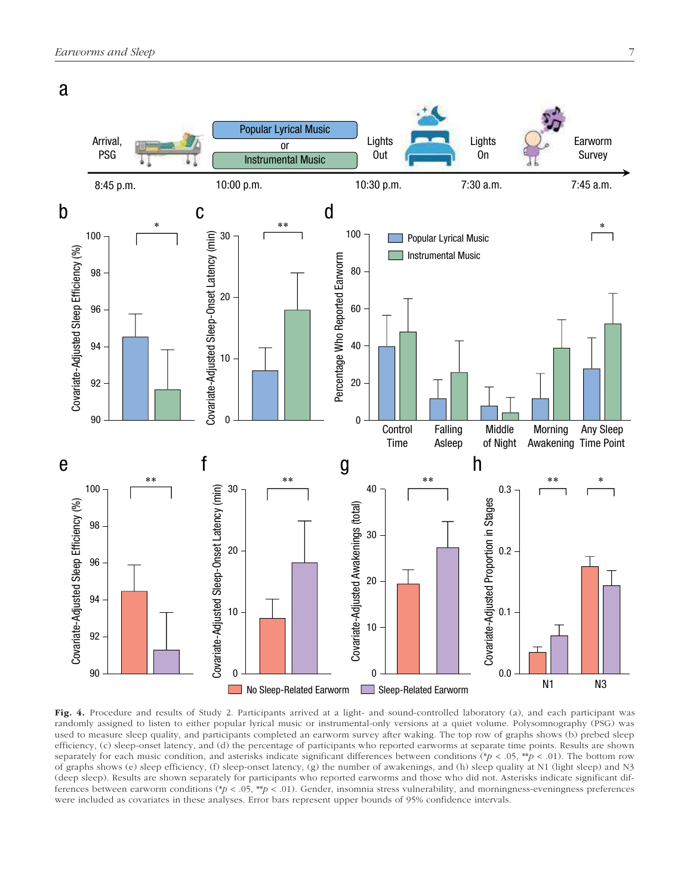

Fig. 4. Procedure and results of Study 2. Participants arrived at a light- and sound-controlled laboratory (a), and each participant was randomly assigned to listen to either popular lyrical music or instrumental-only versions at a quiet volume. Polysomnography (PSG) was used to measure sleep quality, and participants completed an earworm survey after waking. The top row of graphs shows (b) prebed sleep efficiency, (c) sleep-onset latency, and (d) the percentage of participants who reported earworms at separate time points. Results are shown separately for each music condition, and asterisks indicate significant differences between conditions (\**p* < .05, \*\**p* < .01). The bottom row of graphs shows (e) sleep efficiency, (f) sleep-onset latency, (g) the number of awakenings, and (h) sleep quality at N1 (light sleep) and N3 (deep sleep). Results are shown separately for participants who reported earworms and those who did not. Asterisks indicate significant differences between earworm conditions (\**p* < .05, \*\**p* < .01). Gender, insomnia stress vulnerability, and morningness-eveningness preferences were included as covariates in these analyses. Error bars represent upper bounds of 95% confidence intervals.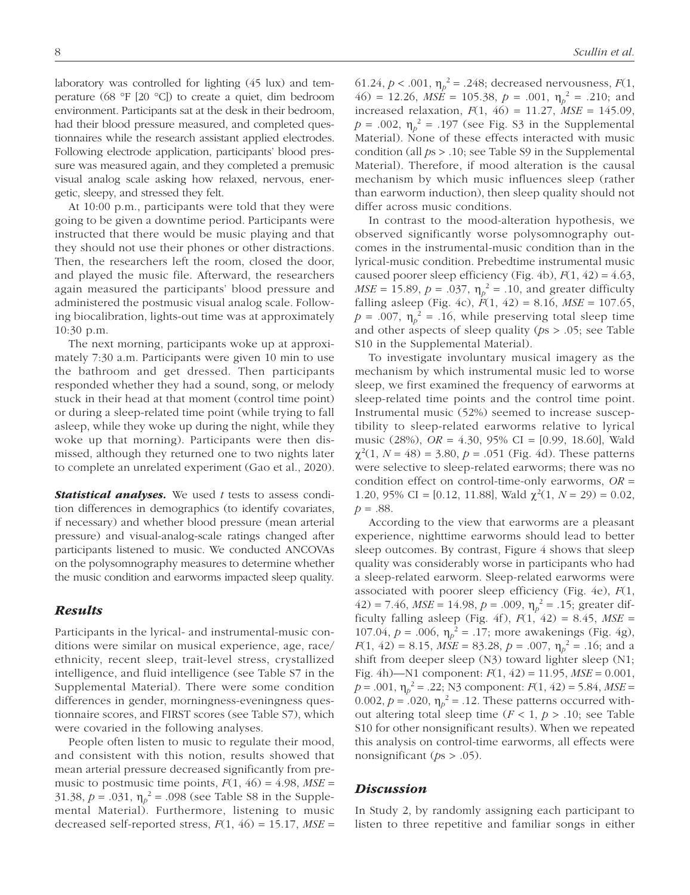laboratory was controlled for lighting (45 lux) and temperature (68 °F [20 °C]) to create a quiet, dim bedroom environment. Participants sat at the desk in their bedroom, had their blood pressure measured, and completed questionnaires while the research assistant applied electrodes. Following electrode application, participants' blood pressure was measured again, and they completed a premusic visual analog scale asking how relaxed, nervous, energetic, sleepy, and stressed they felt.

At 10:00 p.m., participants were told that they were going to be given a downtime period. Participants were instructed that there would be music playing and that they should not use their phones or other distractions. Then, the researchers left the room, closed the door, and played the music file. Afterward, the researchers again measured the participants' blood pressure and administered the postmusic visual analog scale. Following biocalibration, lights-out time was at approximately 10:30 p.m.

The next morning, participants woke up at approximately 7:30 a.m. Participants were given 10 min to use the bathroom and get dressed. Then participants responded whether they had a sound, song, or melody stuck in their head at that moment (control time point) or during a sleep-related time point (while trying to fall asleep, while they woke up during the night, while they woke up that morning). Participants were then dismissed, although they returned one to two nights later to complete an unrelated experiment (Gao et al., 2020).

Statistical analyses. We used *t* tests to assess condition differences in demographics (to identify covariates, if necessary) and whether blood pressure (mean arterial pressure) and visual-analog-scale ratings changed after participants listened to music. We conducted ANCOVAs on the polysomnography measures to determine whether the music condition and earworms impacted sleep quality.

#### Results

Participants in the lyrical- and instrumental-music conditions were similar on musical experience, age, race/ ethnicity, recent sleep, trait-level stress, crystallized intelligence, and fluid intelligence (see Table S7 in the Supplemental Material). There were some condition differences in gender, morningness-eveningness questionnaire scores, and FIRST scores (see Table S7), which were covaried in the following analyses.

People often listen to music to regulate their mood, and consistent with this notion, results showed that mean arterial pressure decreased significantly from premusic to postmusic time points,  $F(1, 46) = 4.98$ ,  $MSE =$ 31.38,  $p = .031$ ,  $\eta_p^2 = .098$  (see Table S8 in the Supplemental Material). Furthermore, listening to music decreased self-reported stress,  $F(1, 46) = 15.17$ ,  $MSE =$ 

61.24,  $p < .001$ ,  $\eta_p^2 = .248$ ; decreased nervousness,  $F(1)$ , 46) = 12.26,  $MSE = 105.38$ ,  $p = .001$ ,  $\eta_p^2 = .210$ ; and increased relaxation, *F*(1, 46) = 11.27, *MSE* = 145.09,  $p = .002$ ,  $\eta_p^2 = .197$  (see Fig. S3 in the Supplemental Material). None of these effects interacted with music condition (all *p*s > .10; see Table S9 in the Supplemental Material). Therefore, if mood alteration is the causal mechanism by which music influences sleep (rather than earworm induction), then sleep quality should not differ across music conditions.

In contrast to the mood-alteration hypothesis, we observed significantly worse polysomnography outcomes in the instrumental-music condition than in the lyrical-music condition. Prebedtime instrumental music caused poorer sleep efficiency (Fig. 4b),  $F(1, 42) = 4.63$ , *MSE* = 15.89,  $p = .037$ ,  $\eta_p^2 = .10$ , and greater difficulty falling asleep (Fig. 4c),  $F(1, 42) = 8.16$ ,  $MSE = 107.65$ ,  $p = .007$ ,  $\eta_p^2 = .16$ , while preserving total sleep time and other aspects of sleep quality (*p*s > .05; see Table S10 in the Supplemental Material).

To investigate involuntary musical imagery as the mechanism by which instrumental music led to worse sleep, we first examined the frequency of earworms at sleep-related time points and the control time point. Instrumental music (52%) seemed to increase susceptibility to sleep-related earworms relative to lyrical music (28%), *OR* = 4.30, 95% CI = [0.99, 18.60], Wald  $\chi^2(1, N = 48) = 3.80, p = .051$  (Fig. 4d). These patterns were selective to sleep-related earworms; there was no condition effect on control-time-only earworms, *OR* = 1.20, 95% CI = [0.12, 11.88], Wald  $\chi^2(1, N = 29) = 0.02$ , *p* = .88.

According to the view that earworms are a pleasant experience, nighttime earworms should lead to better sleep outcomes. By contrast, Figure 4 shows that sleep quality was considerably worse in participants who had a sleep-related earworm. Sleep-related earworms were associated with poorer sleep efficiency (Fig. 4e), *F*(1,  $42$ ) = 7.46, *MSE* = 14.98, *p* = .009,  $\eta_p^2$  = .15; greater difficulty falling asleep (Fig. 4f),  $F(1, 42) = 8.45$ ,  $MSE =$ 107.04,  $p = .006$ ,  $\eta_p^2 = .17$ ; more awakenings (Fig. 4g), *F*(1, 42) = 8.15, *MSE* = 83.28, *p* = .007,  $\eta_p^2$  = .16; and a shift from deeper sleep (N3) toward lighter sleep (N1; Fig. 4h)—N1 component: *F*(1, 42) = 11.95, *MSE* = 0.001, *p* = .001, η*<sup>p</sup>* <sup>2</sup> = .22; N3 component: *F*(1, 42) = 5.84, *MSE* = 0.002,  $p = 0.020$ ,  $\eta_p^2 = 0.12$ . These patterns occurred without altering total sleep time  $(F < 1, p > .10)$ ; see Table S10 for other nonsignificant results). When we repeated this analysis on control-time earworms, all effects were nonsignificant (*p*s > .05).

#### **Discussion**

In Study 2, by randomly assigning each participant to listen to three repetitive and familiar songs in either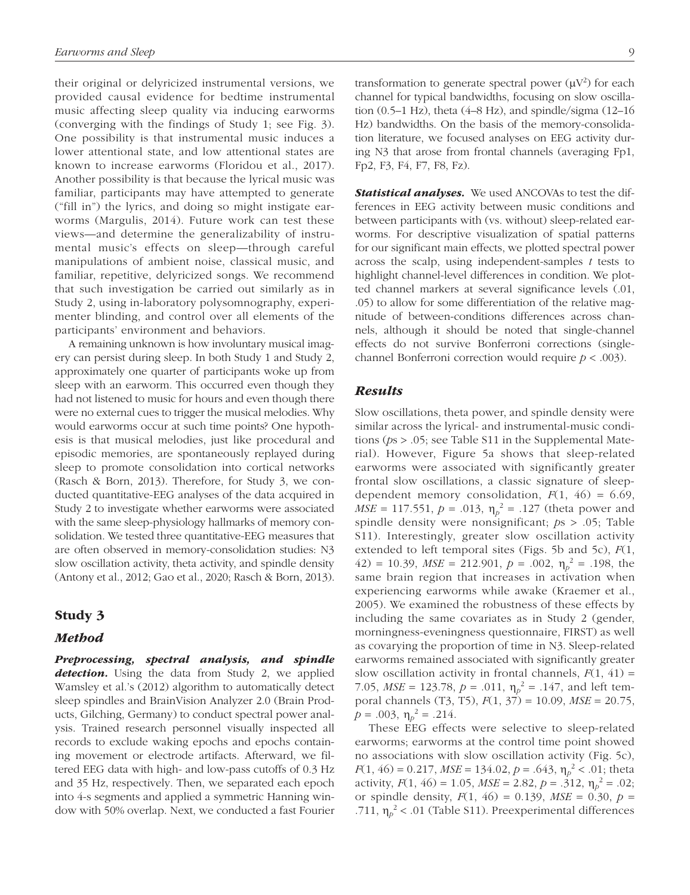their original or delyricized instrumental versions, we provided causal evidence for bedtime instrumental music affecting sleep quality via inducing earworms (converging with the findings of Study 1; see Fig. 3). One possibility is that instrumental music induces a lower attentional state, and low attentional states are known to increase earworms (Floridou et al., 2017). Another possibility is that because the lyrical music was familiar, participants may have attempted to generate ("fill in") the lyrics, and doing so might instigate earworms (Margulis, 2014). Future work can test these views—and determine the generalizability of instrumental music's effects on sleep—through careful manipulations of ambient noise, classical music, and familiar, repetitive, delyricized songs. We recommend that such investigation be carried out similarly as in Study 2, using in-laboratory polysomnography, experimenter blinding, and control over all elements of the participants' environment and behaviors.

A remaining unknown is how involuntary musical imagery can persist during sleep. In both Study 1 and Study 2, approximately one quarter of participants woke up from sleep with an earworm. This occurred even though they had not listened to music for hours and even though there were no external cues to trigger the musical melodies. Why would earworms occur at such time points? One hypothesis is that musical melodies, just like procedural and episodic memories, are spontaneously replayed during sleep to promote consolidation into cortical networks (Rasch & Born, 2013). Therefore, for Study 3, we conducted quantitative- EEG analyses of the data acquired in Study 2 to investigate whether earworms were associated with the same sleep-physiology hallmarks of memory consolidation. We tested three quantitative-EEG measures that are often observed in memory-consolidation studies: N3 slow oscillation activity, theta activity, and spindle density ( Antony et al., 2012; Gao et al., 2020; Rasch & Born, 2013).

#### Study 3

#### Method

Preprocessing, spectral analysis, and spindle detection. Using the data from Study 2, we applied Wamsley et al.'s (2012) algorithm to automatically detect sleep spindles and BrainVision Analyzer 2.0 (Brain Products, Gilching, Germany) to conduct spectral power analysis. Trained research personnel visually inspected all records to exclude waking epochs and epochs containing movement or electrode artifacts. Afterward, we filtered EEG data with high- and low-pass cutoffs of 0.3 Hz and 35 Hz, respectively. Then, we separated each epoch into 4-s segments and applied a symmetric Hanning window with 50% overlap. Next, we conducted a fast Fourier

transformation to generate spectral power  $(\mu V^2)$  for each channel for typical bandwidths, focusing on slow oscillation  $(0.5-1 \text{ Hz})$ , theta  $(4-8 \text{ Hz})$ , and spindle/sigma  $(12-16$ Hz) bandwidths. On the basis of the memory-consolidation literature, we focused analyses on EEG activity during N3 that arose from frontal channels (averaging Fp1, Fp2, F3, F4, F7, F8, Fz).

Statistical analyses. We used ANCOVAs to test the differences in EEG activity between music conditions and between participants with (vs. without) sleep-related earworms. For descriptive visualization of spatial patterns for our significant main effects, we plotted spectral power across the scalp, using independent-samples *t* tests to highlight channel-level differences in condition. We plotted channel markers at several significance levels (.01, .05) to allow for some differentiation of the relative magnitude of between-conditions differences across channels, although it should be noted that single-channel effects do not survive Bonferroni corrections (singlechannel Bonferroni correction would require *p* < .003).

#### Results

Slow oscillations, theta power, and spindle density were similar across the lyrical- and instrumental-music conditions (*p*s > .05; see Table S11 in the Supplemental Material). However, Figure 5a shows that sleep-related earworms were associated with significantly greater frontal slow oscillations, a classic signature of sleepdependent memory consolidation,  $F(1, 46) = 6.69$ , *MSE* = 117.551,  $p = .013$ ,  $\eta_p^2 = .127$  (theta power and spindle density were nonsignificant; *p*s > .05; Table S11). Interestingly, greater slow oscillation activity extended to left temporal sites (Figs. 5b and 5c), *F*(1,  $(42) = 10.39$ ,  $MSE = 212.901$ ,  $p = .002$ ,  $\eta_p^2 = .198$ , the same brain region that increases in activation when experiencing earworms while awake (Kraemer et al., 2005). We examined the robustness of these effects by including the same covariates as in Study 2 (gender, morningness-eveningness questionnaire, FIRST) as well as covarying the proportion of time in N3. Sleep-related earworms remained associated with significantly greater slow oscillation activity in frontal channels,  $F(1, 41) =$ 7.05,  $MSE = 123.78$ ,  $p = .011$ ,  $\eta_p^2 = .147$ , and left temporal channels (T3, T5), *F*(1, 37) = 10.09, *MSE* = 20.75,  $p = .003$ ,  $\eta_p^2 = .214$ .

These EEG effects were selective to sleep-related earworms; earworms at the control time point showed no associations with slow oscillation activity (Fig. 5c), *F*(1, 46) = 0.217, *MSE* = 134.02, *p* = .643,  $\eta_p^2$  < .01; theta activity,  $F(1, 46) = 1.05$ ,  $MSE = 2.82$ ,  $p = .312$ ,  $\eta_p^2 = .02$ ; or spindle density,  $F(1, 46) = 0.139$ ,  $MSE = 0.30$ ,  $p =$ .711,  $\eta_p^2$  < .01 (Table S11). Preexperimental differences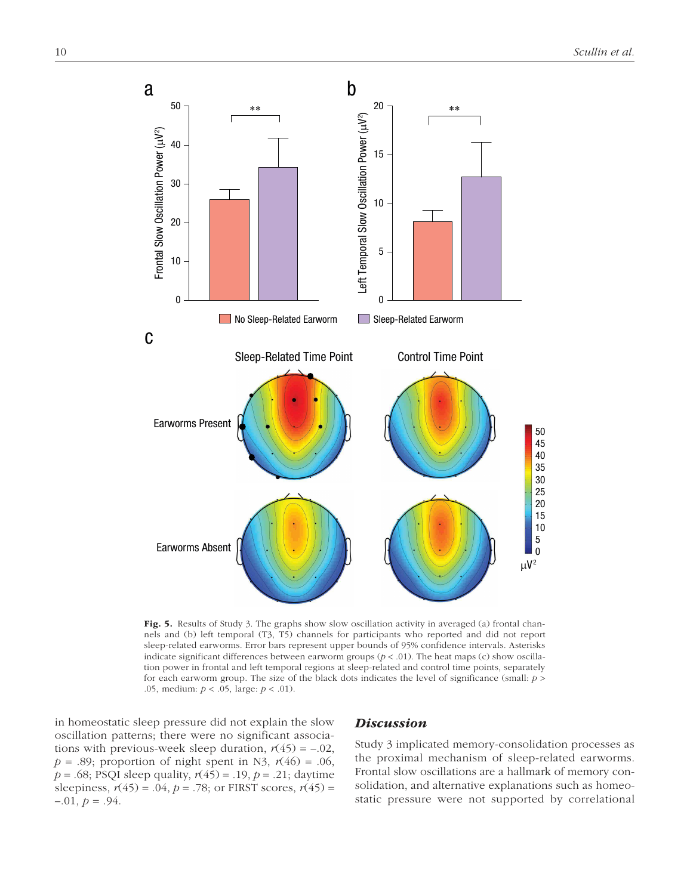

Fig. 5. Results of Study 3. The graphs show slow oscillation activity in averaged (a) frontal channels and (b) left temporal (T3, T5) channels for participants who reported and did not report sleep-related earworms. Error bars represent upper bounds of 95% confidence intervals. Asterisks indicate significant differences between earworm groups  $(p < .01)$ . The heat maps (c) show oscillation power in frontal and left temporal regions at sleep-related and control time points, separately for each earworm group. The size of the black dots indicates the level of significance (small: *p* > .05, medium: *p* < .05, large: *p* < .01).

in homeostatic sleep pressure did not explain the slow oscillation patterns; there were no significant associations with previous-week sleep duration,  $r(45) = -.02$ ,  $p = .89$ ; proportion of night spent in N3,  $r(46) = .06$ , *p* = .68; PSQI sleep quality,  $r(45)$  = .19, *p* = .21; daytime sleepiness,  $r(45) = .04$ ,  $p = .78$ ; or FIRST scores,  $r(45) =$  $-.01, p = .94.$ 

#### **Discussion**

Study 3 implicated memory-consolidation processes as the proximal mechanism of sleep-related earworms. Frontal slow oscillations are a hallmark of memory consolidation, and alternative explanations such as homeostatic pressure were not supported by correlational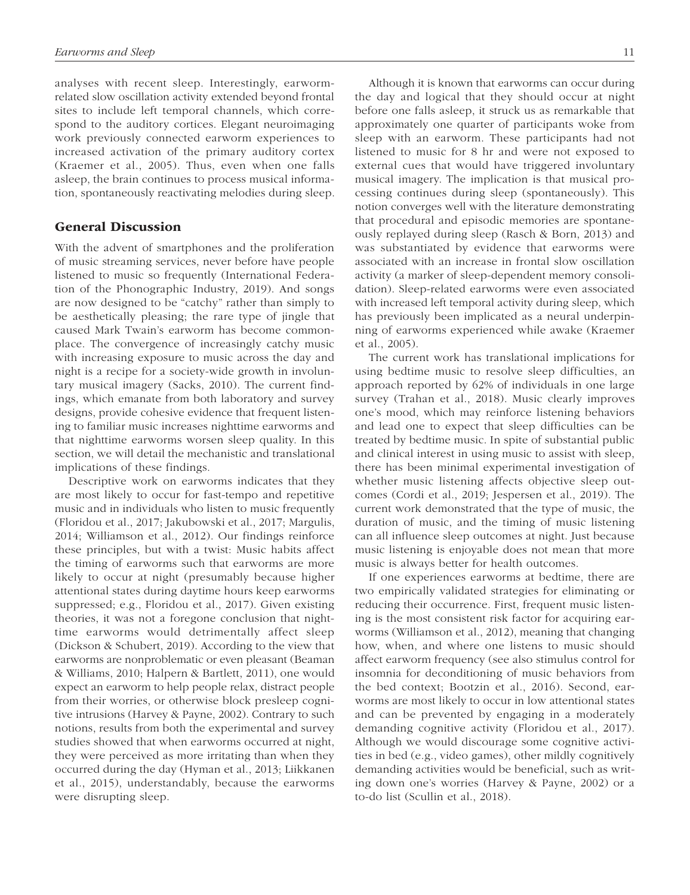analyses with recent sleep. Interestingly, earwormrelated slow oscillation activity extended beyond frontal sites to include left temporal channels, which correspond to the auditory cortices. Elegant neuroimaging work previously connected earworm experiences to increased activation of the primary auditory cortex (Kraemer et al., 2005). Thus, even when one falls asleep, the brain continues to process musical information, spontaneously reactivating melodies during sleep.

#### General Discussion

With the advent of smartphones and the proliferation of music streaming services, never before have people listened to music so frequently (International Federation of the Phonographic Industry, 2019). And songs are now designed to be "catchy" rather than simply to be aesthetically pleasing; the rare type of jingle that caused Mark Twain's earworm has become commonplace. The convergence of increasingly catchy music with increasing exposure to music across the day and night is a recipe for a society-wide growth in involuntary musical imagery (Sacks, 2010). The current findings, which emanate from both laboratory and survey designs, provide cohesive evidence that frequent listening to familiar music increases nighttime earworms and that nighttime earworms worsen sleep quality. In this section, we will detail the mechanistic and translational implications of these findings.

Descriptive work on earworms indicates that they are most likely to occur for fast-tempo and repetitive music and in individuals who listen to music frequently (Floridou et al., 2017; Jakubowski et al., 2017; Margulis, 2014; Williamson et al., 2012). Our findings reinforce these principles, but with a twist: Music habits affect the timing of earworms such that earworms are more likely to occur at night (presumably because higher attentional states during daytime hours keep earworms suppressed; e.g., Floridou et al., 2017). Given existing theories, it was not a foregone conclusion that nighttime earworms would detrimentally affect sleep ( Dickson & Schubert, 2019). According to the view that earworms are nonproblematic or even pleasant (Beaman & Williams, 2010; Halpern & Bartlett, 2011), one would expect an earworm to help people relax, distract people from their worries, or otherwise block presleep cognitive intrusions (Harvey & Payne, 2002). Contrary to such notions, results from both the experimental and survey studies showed that when earworms occurred at night, they were perceived as more irritating than when they occurred during the day (Hyman et al., 2013; Liikkanen et al., 2015), understandably, because the earworms were disrupting sleep.

Although it is known that earworms can occur during the day and logical that they should occur at night before one falls asleep, it struck us as remarkable that approximately one quarter of participants woke from sleep with an earworm. These participants had not listened to music for 8 hr and were not exposed to external cues that would have triggered involuntary musical imagery. The implication is that musical processing continues during sleep (spontaneously). This notion converges well with the literature demonstrating that procedural and episodic memories are spontaneously replayed during sleep (Rasch & Born, 2013) and was substantiated by evidence that earworms were associated with an increase in frontal slow oscillation activity (a marker of sleep-dependent memory consolidation). Sleep-related earworms were even associated with increased left temporal activity during sleep, which has previously been implicated as a neural underpinning of earworms experienced while awake (Kraemer et al., 2005).

The current work has translational implications for using bedtime music to resolve sleep difficulties, an approach reported by 62% of individuals in one large survey (Trahan et al., 2018). Music clearly improves one's mood, which may reinforce listening behaviors and lead one to expect that sleep difficulties can be treated by bedtime music. In spite of substantial public and clinical interest in using music to assist with sleep, there has been minimal experimental investigation of whether music listening affects objective sleep outcomes (Cordi et al., 2019; Jespersen et al., 2019). The current work demonstrated that the type of music, the duration of music, and the timing of music listening can all influence sleep outcomes at night. Just because music listening is enjoyable does not mean that more music is always better for health outcomes.

If one experiences earworms at bedtime, there are two empirically validated strategies for eliminating or reducing their occurrence. First, frequent music listening is the most consistent risk factor for acquiring earworms (Williamson et al., 2012), meaning that changing how, when, and where one listens to music should affect earworm frequency (see also stimulus control for insomnia for deconditioning of music behaviors from the bed context; Bootzin et al., 2016). Second, earworms are most likely to occur in low attentional states and can be prevented by engaging in a moderately demanding cognitive activity (Floridou et al., 2017). Although we would discourage some cognitive activities in bed (e.g., video games), other mildly cognitively demanding activities would be beneficial, such as writing down one's worries (Harvey & Payne, 2002) or a to-do list (Scullin et al., 2018).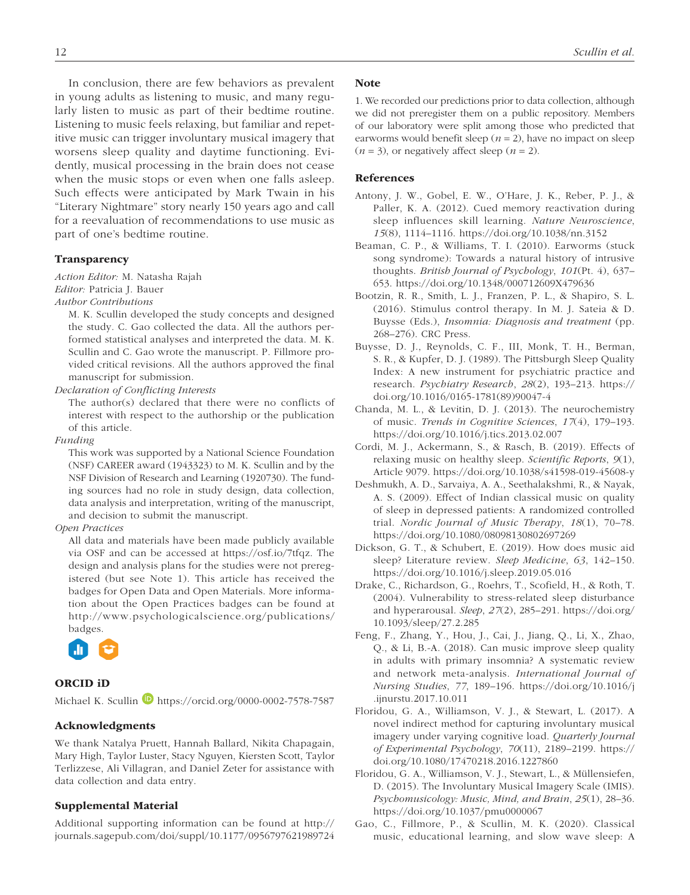In conclusion, there are few behaviors as prevalent in young adults as listening to music, and many regularly listen to music as part of their bedtime routine. Listening to music feels relaxing, but familiar and repetitive music can trigger involuntary musical imagery that worsens sleep quality and daytime functioning. Evidently, musical processing in the brain does not cease when the music stops or even when one falls asleep. Such effects were anticipated by Mark Twain in his "Literary Nightmare" story nearly 150 years ago and call for a reevaluation of recommendations to use music as part of one's bedtime routine.

## Transparency

*Action Editor:* M. Natasha Rajah *Editor:* Patricia J. Bauer

*Author Contributions*

M. K. Scullin developed the study concepts and designed the study. C. Gao collected the data. All the authors performed statistical analyses and interpreted the data. M. K. Scullin and C. Gao wrote the manuscript. P. Fillmore provided critical revisions. All the authors approved the final manuscript for submission.

*Declaration of Conflicting Interests*

The author(s) declared that there were no conflicts of interest with respect to the authorship or the publication of this article.

*Funding*

This work was supported by a National Science Foundation (NSF) CAREER award (1943323) to M. K. Scullin and by the NSF Division of Research and Learning (1920730). The funding sources had no role in study design, data collection, data analysis and interpretation, writing of the manuscript, and decision to submit the manuscript.

#### *Open Practices*

All data and materials have been made publicly available via OSF and can be accessed at https://osf.io/7tfqz. The design and analysis plans for the studies were not preregistered (but see Note 1). This article has received the badges for Open Data and Open Materials. More information about the Open Practices badges can be found at http://www.psychologicalscience.org/publications/ badges.



## ORCID iD

Michael K. Scullin https://orcid.org/0000-0002-7578-7587

#### Acknowledgments

We thank Natalya Pruett, Hannah Ballard, Nikita Chapagain, Mary High, Taylor Luster, Stacy Nguyen, Kiersten Scott, Taylor Terlizzese, Ali Villagran, and Daniel Zeter for assistance with data collection and data entry.

#### Supplemental Material

Additional supporting information can be found at http:// journals.sagepub.com/doi/suppl/10.1177/0956797621989724

#### **Note**

1. We recorded our predictions prior to data collection, although we did not preregister them on a public repository. Members of our laboratory were split among those who predicted that earworms would benefit sleep  $(n = 2)$ , have no impact on sleep  $(n = 3)$ , or negatively affect sleep  $(n = 2)$ .

#### References

- Antony, J. W., Gobel, E. W., O'Hare, J. K., Reber, P. J., & Paller, K. A. (2012). Cued memory reactivation during sleep influences skill learning. *Nature Neuroscience*, *15*(8), 1114–1116. https://doi.org/10.1038/nn.3152
- Beaman, C. P., & Williams, T. I. (2010). Earworms (stuck song syndrome): Towards a natural history of intrusive thoughts. *British Journal of Psychology*, *101*(Pt. 4), 637– 653. https://doi.org/10.1348/000712609X479636
- Bootzin, R. R., Smith, L. J., Franzen, P. L., & Shapiro, S. L. (2016). Stimulus control therapy. In M. J. Sateia & D. Buysse (Eds.), *Insomnia: Diagnosis and treatment* (pp. 268–276). CRC Press.
- Buysse, D. J., Reynolds, C. F., III, Monk, T. H., Berman, S. R., & Kupfer, D. J. (1989). The Pittsburgh Sleep Quality Index: A new instrument for psychiatric practice and research. *Psychiatry Research*, *28*(2), 193–213. https:// doi.org/10.1016/0165-1781(89)90047-4
- Chanda, M. L., & Levitin, D. J. (2013). The neurochemistry of music. *Trends in Cognitive Sciences*, *17*(4), 179–193. https://doi.org/10.1016/j.tics.2013.02.007
- Cordi, M. J., Ackermann, S., & Rasch, B. (2019). Effects of relaxing music on healthy sleep. *Scientific Reports*, *9*(1), Article 9079. https://doi.org/10.1038/s41598-019-45608-y
- Deshmukh, A. D., Sarvaiya, A. A., Seethalakshmi, R., & Nayak, A. S. (2009). Effect of Indian classical music on quality of sleep in depressed patients: A randomized controlled trial. *Nordic Journal of Music Therapy*, *18*(1), 70–78. https://doi.org/10.1080/08098130802697269
- Dickson, G. T., & Schubert, E. (2019). How does music aid sleep? Literature review. *Sleep Medicine*, *63*, 142–150. https://doi.org/10.1016/j.sleep.2019.05.016
- Drake, C., Richardson, G., Roehrs, T., Scofield, H., & Roth, T. (2004). Vulnerability to stress-related sleep disturbance and hyperarousal. *Sleep*, *27*(2), 285–291. https://doi.org/ 10.1093/sleep/27.2.285
- Feng, F., Zhang, Y., Hou, J., Cai, J., Jiang, Q., Li, X., Zhao, Q., & Li, B.-A. (2018). Can music improve sleep quality in adults with primary insomnia? A systematic review and network meta-analysis. *International Journal of Nursing Studies*, *77*, 189–196. https://doi.org/10.1016/j .ijnurstu.2017.10.011
- Floridou, G. A., Williamson, V. J., & Stewart, L. (2017). A novel indirect method for capturing involuntary musical imagery under varying cognitive load. *Quarterly Journal of Experimental Psychology*, *70*(11), 2189–2199. https:// doi.org/10.1080/17470218.2016.1227860
- Floridou, G. A., Williamson, V. J., Stewart, L., & Müllensiefen, D. (2015). The Involuntary Musical Imagery Scale (IMIS). *Psychomusicology: Music, Mind, and Brain*, *25*(1), 28–36. https://doi.org/10.1037/pmu0000067
- Gao, C., Fillmore, P., & Scullin, M. K. (2020). Classical music, educational learning, and slow wave sleep: A